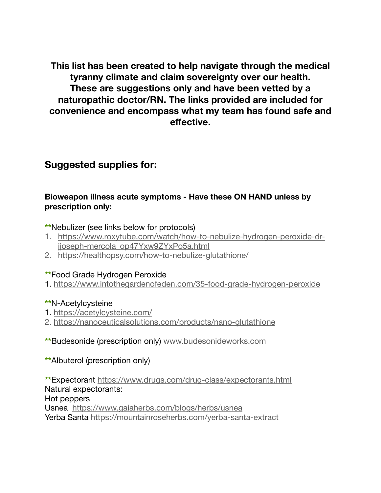**This list has been created to help navigate through the medical tyranny climate and claim sovereignty over our health. These are suggestions only and have been vetted by a naturopathic doctor/RN. The links provided are included for convenience and encompass what my team has found safe and effective.** 

# **Suggested supplies for:**

## **Bioweapon illness acute symptoms - Have these ON HAND unless by prescription only:**

**\*\***Nebulizer (see links below for protocols)

- 1. [https://www.roxytube.com/watch/how-to-nebulize-hydrogen-peroxide-dr](https://www.roxytube.com/watch/how-to-nebulize-hydrogen-peroxide-dr-jjoseph-mercola_op47Yxw9ZYxPo5a.html)[jjoseph-mercola\\_op47Yxw9ZYxPo5a.html](https://www.roxytube.com/watch/how-to-nebulize-hydrogen-peroxide-dr-jjoseph-mercola_op47Yxw9ZYxPo5a.html)
- 2. <https://healthopsy.com/how-to-nebulize-glutathione/>

### **\*\***Food Grade Hydrogen Peroxide

1. <https://www.intothegardenofeden.com/35-food-grade-hydrogen-peroxide>

### **\*\***N-Acetylcysteine

- 1.<https://acetylcysteine.com/>
- 2.<https://nanoceuticalsolutions.com/products/nano-glutathione>
- **\*\***Budesonide (prescription only) [www.budesonideworks.com](http://www.budesonideworks.com)
- **\*\***Albuterol (prescription only)

**\*\***Expectorant <https://www.drugs.com/drug-class/expectorants.html> Natural expectorants: Hot peppers Usnea <https://www.gaiaherbs.com/blogs/herbs/usnea> Yerba Santa <https://mountainroseherbs.com/yerba-santa-extract>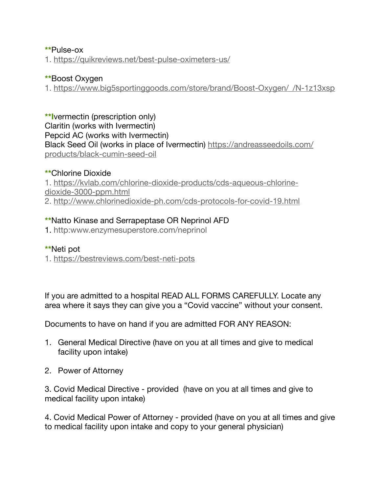### **\*\***Pulse-ox

1.<https://quikreviews.net/best-pulse-oximeters-us/>

### **\*\***Boost Oxygen

1. [https://www.big5sportinggoods.com/store/brand/Boost-Oxygen/\\_/N-1z13xsp](https://www.big5sportinggoods.com/store/brand/Boost-Oxygen/_/N-1z13xsp)

**\*\*I**vermectin (prescription only) Claritin (works with Ivermectin) Pepcid AC (works with Ivermectin) Black Seed Oil (works in place of Ivermectin) [https://andreasseedoils.com/](https://andreasseedoils.com/products/black-cumin-seed-oil) [products/black-cumin-seed-oil](https://andreasseedoils.com/products/black-cumin-seed-oil)

### **\*\***Chlorine Dioxide

1. [https://kvlab.com/chlorine-dioxide-products/cds-aqueous-chlorine](https://kvlab.com/chlorine-dioxide-products/cds-aqueous-chlorine-dioxide-3000-ppm.html)[dioxide-3000-ppm.html](https://kvlab.com/chlorine-dioxide-products/cds-aqueous-chlorine-dioxide-3000-ppm.html) 2.<http://www.chlorinedioxide-ph.com/cds-protocols-for-covid-19.html>

### **\*\***Natto Kinase and Serrapeptase OR Neprinol AFD

1. http:www.enzymesuperstore.com/neprinol

### **\*\***Neti pot

1.<https://bestreviews.com/best-neti-pots>

If you are admitted to a hospital READ ALL FORMS CAREFULLY. Locate any area where it says they can give you a "Covid vaccine" without your consent.

Documents to have on hand if you are admitted FOR ANY REASON:

- 1. General Medical Directive (have on you at all times and give to medical facility upon intake)
- 2. Power of Attorney

3. Covid Medical Directive - provided (have on you at all times and give to medical facility upon intake)

4. Covid Medical Power of Attorney - provided (have on you at all times and give to medical facility upon intake and copy to your general physician)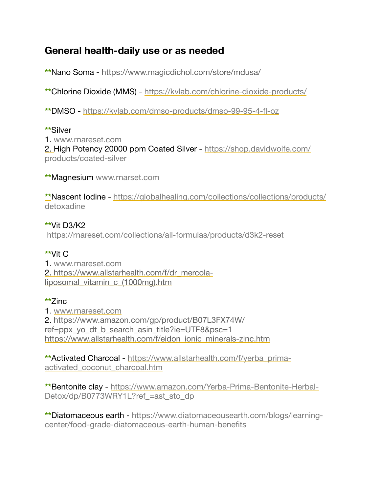# **General health-daily use or as needed**

**\*\***Nano Soma - <https://www.magicdichol.com/store/mdusa/>

**\*\***Chlorine Dioxide (MMS) - <https://kvlab.com/chlorine-dioxide-products/>

**\*\***DMSO - <https://kvlab.com/dmso-products/dmso-99-95-4-fl-oz>

### **\*\***Silver

1. www.rnareset.com 2. High Potency 20000 ppm Coated Silver - [https://shop.davidwolfe.com/](https://shop.davidwolfe.com/products/coated-silver) [products/coated-silver](https://shop.davidwolfe.com/products/coated-silver)

**\*\***Magnesium www.rnarset.com

**\*\***Nascent Iodine - [https://globalhealing.com/collections/collections/products/](https://globalhealing.com/collections/collections/products/detoxadine) [detoxadine](https://globalhealing.com/collections/collections/products/detoxadine)

# **\*\***Vit D3/K2

https://rnareset.com/collections/all-formulas/products/d3k2-reset

## **\*\***Vit C

1. [www.rnareset.co](http://www.rnareset.co)m 2. [https://www.allstarhealth.com/f/dr\\_mercola](https://www.allstarhealth.com/f/dr_mercola-liposomal_vitamin_c_(1000mg).htm)[liposomal\\_vitamin\\_c\\_\(1000mg\).htm](https://www.allstarhealth.com/f/dr_mercola-liposomal_vitamin_c_(1000mg).htm)

## **\*\***Zinc

1. [www.rnareset.com](http://www.rnareset.com) 2. [https://www.amazon.com/gp/product/B07L3FX74W/](https://www.amazon.com/gp/product/B07L3FX74W/ref=ppx_yo_dt_b_search_asin_title?ie=UTF8&psc=1) ref=ppx yo dt b search asin title?ie=UTF8&psc=1 [https://www.allstarhealth.com/f/eidon\\_ionic\\_minerals-zinc.htm](https://www.allstarhealth.com/f/eidon_ionic_minerals-zinc.htm)

**\*\***Activated Charcoal - [https://www.allstarhealth.com/f/yerba\\_prima](https://www.allstarhealth.com/f/yerba_prima-activated_coconut_charcoal.htm)[activated\\_coconut\\_charcoal.htm](https://www.allstarhealth.com/f/yerba_prima-activated_coconut_charcoal.htm)

**\*\***Bentonite clay - [https://www.amazon.com/Yerba-Prima-Bentonite-Herbal-](https://www.amazon.com/Yerba-Prima-Bentonite-Herbal-Detox/dp/B0773WRY1L?ref_=ast_sto_dp)Detox/dp/B0773WRY1L?ref =ast\_sto\_dp

**\*\***Diatomaceous earth - https://www.diatomaceousearth.com/blogs/learningcenter/food-grade-diatomaceous-earth-human-benefits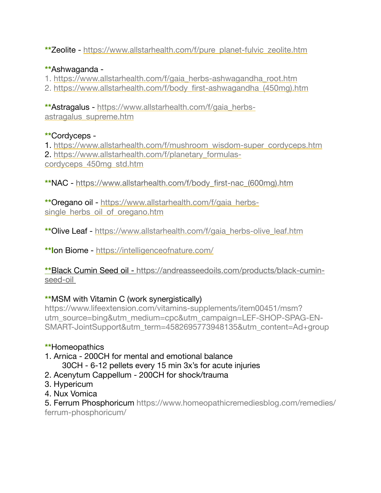**\*\***Zeolite - [https://www.allstarhealth.com/f/pure\\_planet-fulvic\\_zeolite.htm](https://www.allstarhealth.com/f/pure_planet-fulvic_zeolite.htm)

## **\*\***Ashwaganda -

1. [https://www.allstarhealth.com/f/gaia\\_herbs-ashwagandha\\_root.htm](https://www.allstarhealth.com/f/gaia_herbs-ashwagandha_root.htm)

2. [https://www.allstarhealth.com/f/body\\_first-ashwagandha\\_\(450mg\).htm](https://www.allstarhealth.com/f/body_first-ashwagandha_(450mg).htm)

**\*\***Astragalus - [https://www.allstarhealth.com/f/gaia\\_herbs](https://www.allstarhealth.com/f/gaia_herbs-astragalus_supreme.htm)[astragalus\\_supreme.htm](https://www.allstarhealth.com/f/gaia_herbs-astragalus_supreme.htm)

## **\*\***Cordyceps -

1. [https://www.allstarhealth.com/f/mushroom\\_wisdom-super\\_cordyceps.htm](https://www.allstarhealth.com/f/mushroom_wisdom-super_cordyceps.htm) 2. [https://www.allstarhealth.com/f/planetary\\_formulas](https://www.allstarhealth.com/f/planetary_formulas-cordyceps_450mg_std.htm)[cordyceps\\_450mg\\_std.htm](https://www.allstarhealth.com/f/planetary_formulas-cordyceps_450mg_std.htm)

**\*\***NAC - [https://www.allstarhealth.com/f/body\\_first-nac\\_\(600mg\).htm](https://www.allstarhealth.com/f/body_first-nac_(600mg).htm)

**\*\***Oregano oil - [https://www.allstarhealth.com/f/gaia\\_herbs](https://www.allstarhealth.com/f/gaia_herbs-single_herbs_oil_of_oregano.htm)single herbs oil of oregano.htm

\*\* Olive Leaf - [https://www.allstarhealth.com/f/gaia\\_herbs-olive\\_leaf.htm](https://www.allstarhealth.com/f/gaia_herbs-olive_leaf.htm)

**\*\*I**on Biome - <https://intelligenceofnature.com/>

**\*\***Black Cumin Seed oil - [https://andreasseedoils.com/products/black-cumin](https://andreasseedoils.com/products/black-cumin-seed-oil)[seed-oil](https://andreasseedoils.com/products/black-cumin-seed-oil)

## **\*\***MSM with Vitamin C (work synergistically)

https://www.lifeextension.com/vitamins-supplements/item00451/msm? utm\_source=bing&utm\_medium=cpc&utm\_campaign=LEF-SHOP-SPAG-EN-SMART-JointSupport&utm\_term=4582695773948135&utm\_content=Ad+group

# **\*\***Homeopathics

- 1. Arnica 200CH for mental and emotional balance
	- 30CH 6-12 pellets every 15 min 3x's for acute injuries
- 2. Acenytum Cappellum 200CH for shock/trauma
- 3. Hypericum
- 4. Nux Vomica

5. Ferrum Phosphoricum https://www.homeopathicremediesblog.com/remedies/ ferrum-phosphoricum/